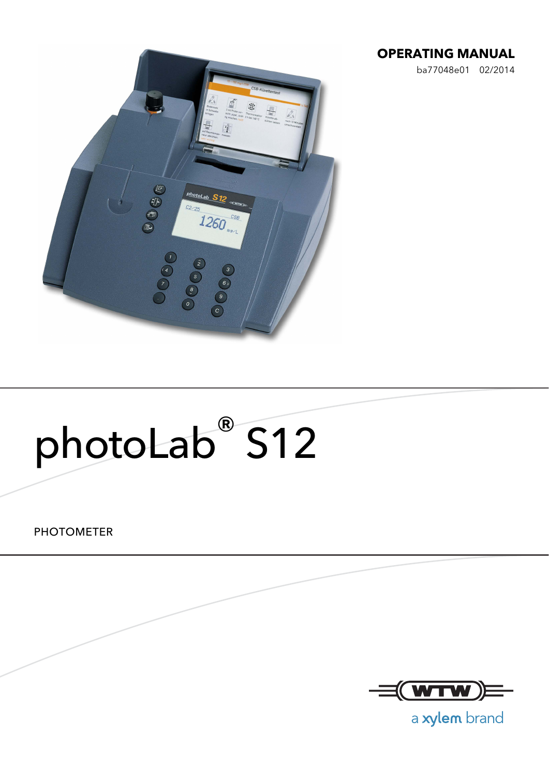#### **OPERATING MANUAL**

ba77048e01 02/2014



# photoLab® S12

PHOTOMETER



a xylem brand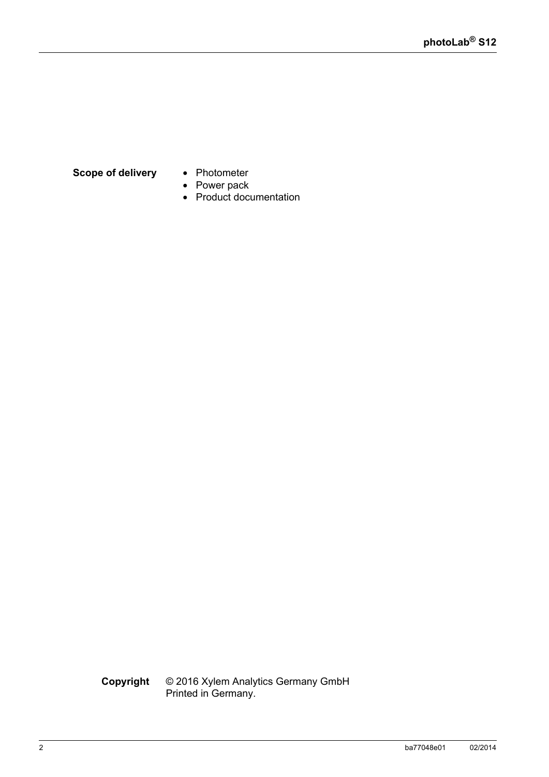#### **Scope of delivery** • Photometer

- 
- Power pack
- Product documentation

**Copyright** © 2016 Xylem Analytics Germany GmbH Printed in Germany.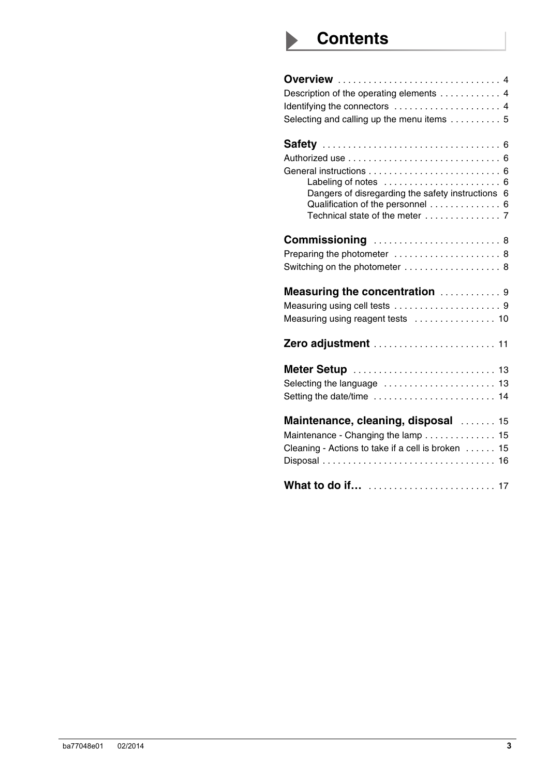## **Contents**

| <b>Overview</b> 4                                                                      |
|----------------------------------------------------------------------------------------|
| Description of the operating elements 4                                                |
| Identifying the connectors  4                                                          |
| Selecting and calling up the menu items  5                                             |
|                                                                                        |
|                                                                                        |
|                                                                                        |
|                                                                                        |
| Dangers of disregarding the safety instructions 6<br>Qualification of the personnel  6 |
|                                                                                        |
| <b>Commissioning</b> 8                                                                 |
| Preparing the photometer  8                                                            |
| Switching on the photometer  8                                                         |
| Measuring the concentration  9                                                         |
|                                                                                        |
| Measuring using reagent tests  10                                                      |
| Zero adjustment  11                                                                    |
| Meter Setup  13                                                                        |
|                                                                                        |
| Setting the date/time  14                                                              |
| Maintenance, cleaning, disposal  15                                                    |
| Maintenance - Changing the lamp 15                                                     |
| Cleaning - Actions to take if a cell is broken  15                                     |
|                                                                                        |
|                                                                                        |
|                                                                                        |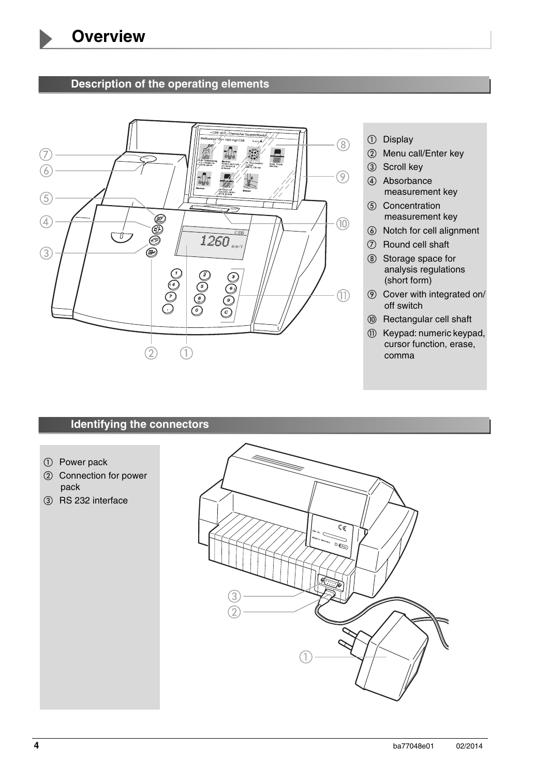#### <span id="page-3-1"></span>1 **Description of the operating elements**

<span id="page-3-0"></span>

- **1** Display
- 2 Menu call/Enter key
- 3 Scroll key
- (4) Absorbance measurement key
- **6** Concentration measurement key
- **6** Notch for cell alignment
- $\oslash$  Round cell shaft
- (8) Storage space for analysis regulations (short form)
- $\circledR$  Cover with integrated on/ off switch
- **(0) Rectangular cell shaft**
- **113** Keypad: numeric keypad, cursor function, erase, comma

### <span id="page-3-2"></span>**Identifying the connectors**

- 1 Power pack
- 2 Connection for power pack
- 3 RS 232 interface

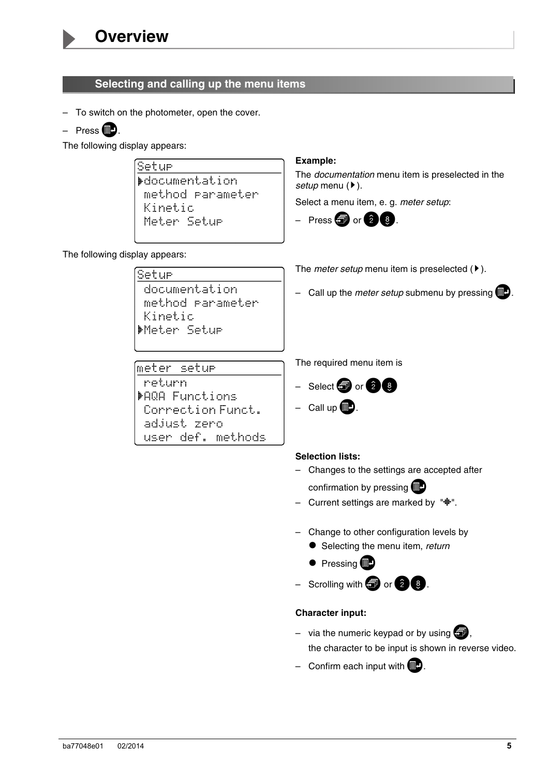

#### <span id="page-4-0"></span>**Selecting and calling up the menu items**

- To switch on the photometer, open the cover.
- Press  $\blacksquare$ .

The following display appears:

Setur **Mocumentation** method parameter Kinetic Meter Setur

#### **Example:**

The *documentation* menu item is preselected in the *setup* menu ( $\blacktriangleright$ ).

The *meter setup* menu item is preselected  $(\triangleright)$ .

– Call up the *meter setup* submenu by pressing  $\blacksquare$ .

Select a menu item, e. g. *meter setup*:



The following display appears:

Setur documentation method rarameter Kinetic Meter Setur

meter setur return

**MAGA Functions** 

adjust zero

Correction Funct.

user def. methods

The required menu item is



 $-$  Call up  $\Box$ .

#### **Selection lists:**

- Changes to the settings are accepted after confirmation by pressing  $\blacksquare$
- Current settings are marked by " $\ddot{\mathbf{\cdot}}$ ".
- Change to other configuration levels by
	- Selecting the menu item, *return*
	- $\bullet$  Pressing  $\bullet$

– Scrolling with  $\bigoplus$  or  $\bigotimes$  8.

#### **Character input:**

- via the numeric keypad or by using  $\blacksquare$ , the character to be input is shown in reverse video.
- Confirm each input with  $\Box$ .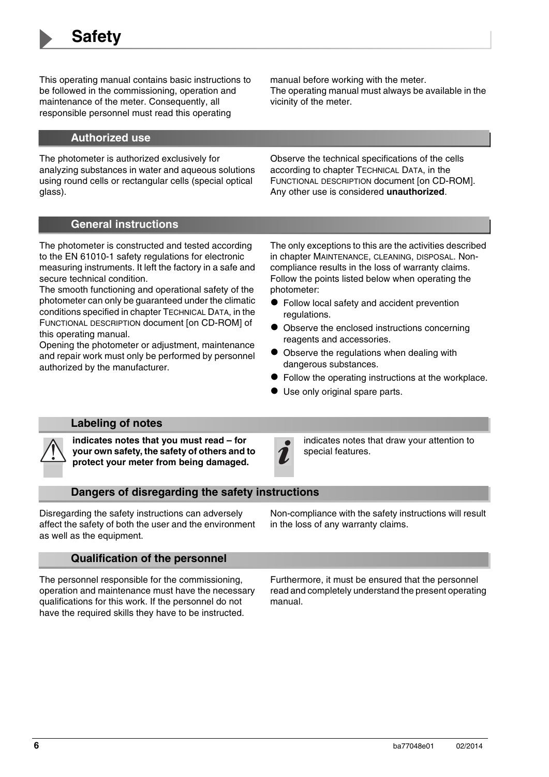<span id="page-5-0"></span>2 This operating manual contains basic instructions to be followed in the commissioning, operation and maintenance of the meter. Consequently, all responsible personnel must read this operating

manual before working with the meter. The operating manual must always be available in the vicinity of the meter.

#### <span id="page-5-1"></span>**Authorized use**

The photometer is authorized exclusively for analyzing substances in water and aqueous solutions using round cells or rectangular cells (special optical glass).

Observe the technical specifications of the cells according to chapter TECHNICAL DATA, in the FUNCTIONAL DESCRIPTION document [on CD-ROM]. Any other use is considered **unauthorized**.

#### <span id="page-5-2"></span>**General instructions**

The photometer is constructed and tested according to the EN 61010-1 safety regulations for electronic measuring instruments. It left the factory in a safe and secure technical condition.

The smooth functioning and operational safety of the photometer can only be guaranteed under the climatic conditions specified in chapter TECHNICAL DATA, in the FUNCTIONAL DESCRIPTION document [on CD-ROM] of this operating manual.

Opening the photometer or adjustment, maintenance and repair work must only be performed by personnel authorized by the manufacturer.

The only exceptions to this are the activities described in [chapter MAINTENANCE, CLEANING, DISPOSAL.](#page-14-3) Noncompliance results in the loss of warranty claims. Follow the points listed below when operating the photometer:

- Follow local safety and accident prevention regulations.
- $\bullet$  Observe the enclosed instructions concerning reagents and accessories.
- Observe the regulations when dealing with dangerous substances.
- Follow the operating instructions at the workplace.
- Use only original spare parts.

#### <span id="page-5-3"></span>**Labeling of notes**

**indicates notes that you must read – for your own safety, the safety of others and to protect your meter from being damaged.**

indicates notes that draw your attention to special features.

#### <span id="page-5-4"></span>**Dangers of disregarding the safety instructions**

Disregarding the safety instructions can adversely affect the safety of both the user and the environment as well as the equipment.

Non-compliance with the safety instructions will result in the loss of any warranty claims.

#### <span id="page-5-5"></span>**Qualification of the personnel**

The personnel responsible for the commissioning, operation and maintenance must have the necessary qualifications for this work. If the personnel do not have the required skills they have to be instructed.

Furthermore, it must be ensured that the personnel read and completely understand the present operating manual.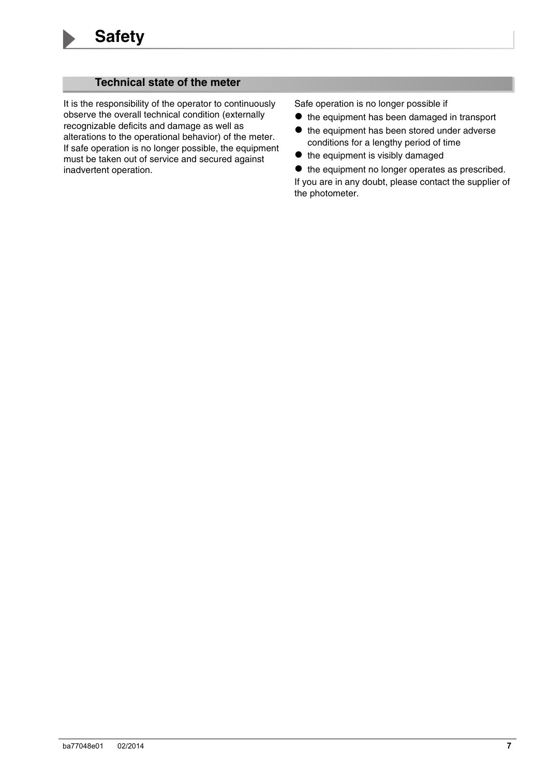#### <span id="page-6-0"></span>**Technical state of the meter**

It is the responsibility of the operator to continuously observe the overall technical condition (externally recognizable deficits and damage as well as alterations to the operational behavior) of the meter. If safe operation is no longer possible, the equipment must be taken out of service and secured against inadvertent operation.

Safe operation is no longer possible if

- $\bullet$  the equipment has been damaged in transport
- $\bullet$  the equipment has been stored under adverse conditions for a lengthy period of time
- $\bullet$  the equipment is visibly damaged

 $\bullet$  the equipment no longer operates as prescribed. If you are in any doubt, please contact the supplier of the photometer.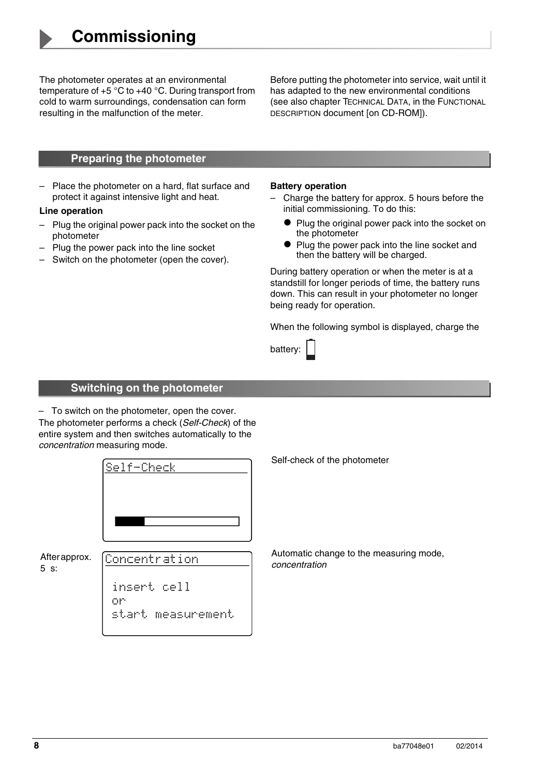<span id="page-7-3"></span><span id="page-7-0"></span>The photometer operates at an environmental<br>temperature of +5 °C to +40 °C. During transport from cold to warm surroundings, condensation can form resulting in the malfunction of the meter.

Before putting the photometer into service, wait until it has adapted to the new environmental conditions (see also chapter TECHNICAL DATA, in the FUNCTIONAL DESCRIPTION document [on CD-ROM]).

#### <span id="page-7-1"></span>**Preparing the photometer**

– Place the photometer on a hard, flat surface and protect it against intensive light and heat.

#### **Line operation**

- Plug the original power pack into the socket on the photometer
- Plug the power pack into the line socket
- Switch on the photometer (open the cover).

#### **Battery operation**

- Charge the battery for approx. 5 hours before the initial commissioning. To do this:
	- Plug the original power pack into the socket on the photometer
	- Plug the power pack into the line socket and then the battery will be charged.

During battery operation or when the meter is at a standstill for longer periods of time, the battery runs down. This can result in your photometer no longer being ready for operation.

When the following symbol is displayed, charge the

#### <span id="page-7-2"></span>**Switching on the photometer**

– To switch on the photometer, open the cover. The photometer performs a check (*Self-Check*) of the entire system and then switches automatically to the *concentration* measuring mode.

|                       | Self-Check                                          | Self-ch         |
|-----------------------|-----------------------------------------------------|-----------------|
|                       |                                                     |                 |
| After approx.<br>5 s: | Concentration                                       | Autom<br>concer |
|                       | insert cell<br>on<br>rt.<br>۱Ť.<br>sta<br>measureme |                 |

neck of the photometer

atic change to the measuring mode, *concentration*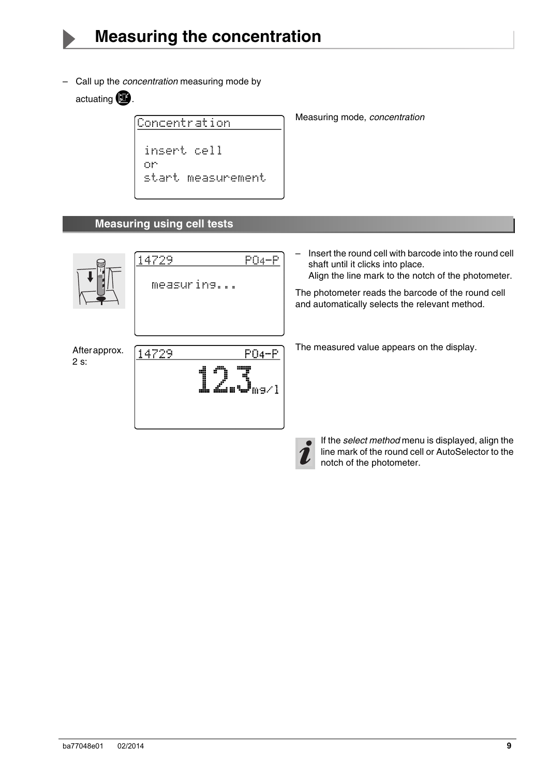<span id="page-8-0"></span>– Call up the *concentration* measuring mode by actuating  $\mathbf{E}$ .

Concentration insert cell on start measurement Measuring mode, *concentration*

#### <span id="page-8-1"></span>**Measuring using cell tests**

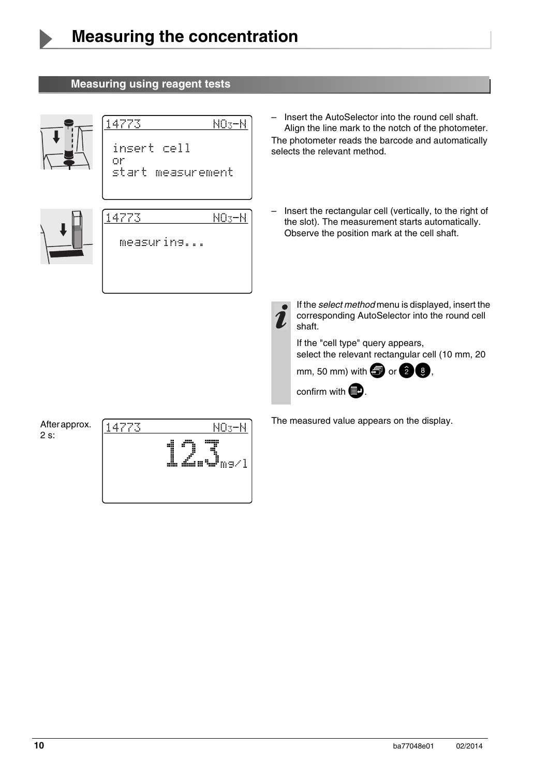#### <span id="page-9-0"></span>**Measuring using reagent tests**

14773



| 14773<br>NU3TN<br>insert cell<br>or<br>start measurement | Align the line mark to the notch of the photometer.<br>The photometer reads the barcode and automatically<br>selects the relevant method.                                                                                                                                                 |
|----------------------------------------------------------|-------------------------------------------------------------------------------------------------------------------------------------------------------------------------------------------------------------------------------------------------------------------------------------------|
| 14773<br>NO <sub>3</sub> -N<br>measuring                 | Insert the rectangular cell (vertically, to the right of<br>the slot). The measurement starts automatically.<br>Observe the position mark at the cell shaft.                                                                                                                              |
|                                                          | If the select method menu is displayed, insert the<br>corresponding AutoSelector into the round cell<br>shaft.<br>If the "cell type" query appears,<br>select the relevant rectangular cell (10 mm, 20<br>mm, 50 mm) with $\blacksquare$ or $\Omega$ $\Omega$ ,<br>confirm with <b>BD</b> |
|                                                          |                                                                                                                                                                                                                                                                                           |

 $NO<sub>3</sub>-N$ 

After approx. 2 s:



The measured value appears on the display.

– Insert the AutoSelector into the round cell shaft.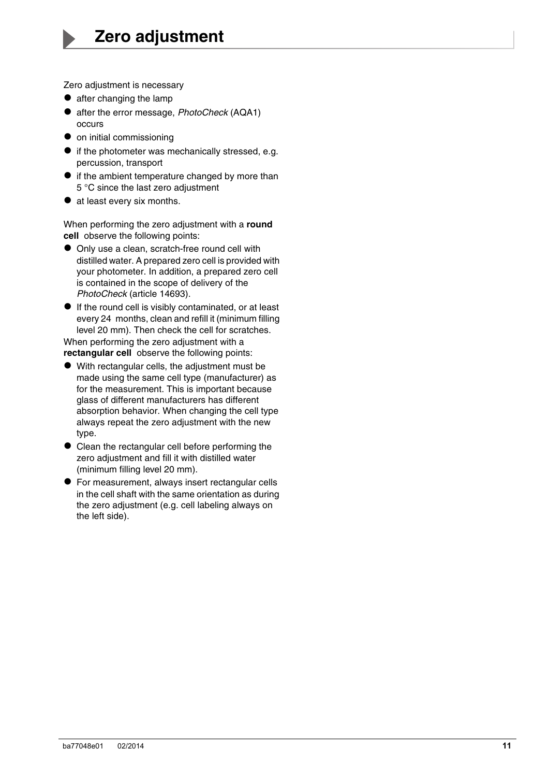<span id="page-10-1"></span><span id="page-10-0"></span>Zero adjustment is necessary  $\bullet$  after changing the lamp

- 
- after the error message, *PhotoCheck* (AQA1) occurs
- $\bullet$  on initial commissioning
- $\bullet$  if the photometer was mechanically stressed, e.g. percussion, transport
- $\bullet$  if the ambient temperature changed by more than 5 °C since the last zero adjustment
- at least every six months.

When performing the zero adjustment with a **round cell** observe the following points:

- Only use a clean, scratch-free round cell with distilled water. A prepared zero cell is provided with your photometer. In addition, a prepared zero cell is contained in the scope of delivery of the *PhotoCheck* (article 14693).
- If the round cell is visibly contaminated, or at least every 24 months, clean and refill it (minimum filling level 20 mm). Then check the cell for scratches.

When performing the zero adjustment with a **rectangular cell** observe the following points:

- With rectangular cells, the adjustment must be made using the same cell type (manufacturer) as for the measurement. This is important because glass of different manufacturers has different absorption behavior. When changing the cell type always repeat the zero adjustment with the new type.
- Clean the rectangular cell before performing the zero adjustment and fill it with distilled water (minimum filling level 20 mm).
- For measurement, always insert rectangular cells in the cell shaft with the same orientation as during the zero adjustment (e.g. cell labeling always on the left side).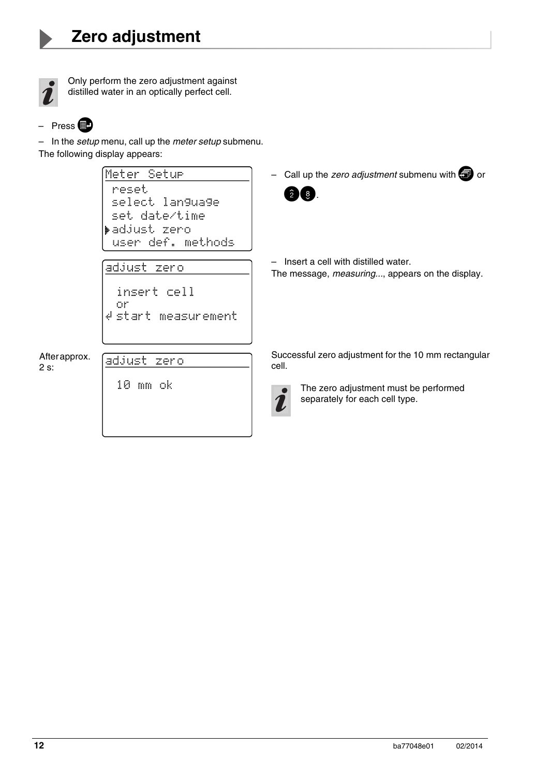

Only perform the zero adjustment against distilled water in an optically perfect cell.

$$
- \text{ Press}
$$

– In the *setup* menu, call up the *meter setup* submenu. The following display appears:

```
Meter Setur
                                               – Call up the zero adjustment submenu with 3 or
              reset
                                                  \hat{2} \hat{3}select lan9ua9e
              set date/time
             ▶adjust zero
              user def. methods
                                               – Insert a cell with distilled water.
             adjust zero
                                               The message, measuring..., appears on the display.
               insert cell
               or
             # start measurement
                                               Successful zero adjustment for the 10 mm rectangular 
After approx. 
             adjust zero
                                               cell.
2 s:10 mm ok
                                                     The zero adjustment must be performed 
                                                     separately for each cell type.
```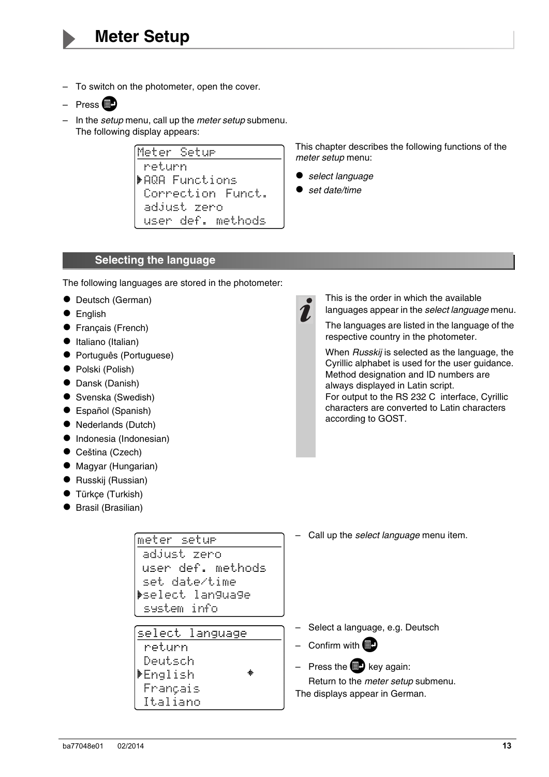- <span id="page-12-0"></span>– To switch on the photometer, open the cover.
- Press **图**
- In the *setup* menu, call up the *meter setup* submenu. The following display appears:

Meter Setu<del>r</del> return. **MAGA Functions** Correction Funct. adjust zero user def. methods

This chapter describes the following functions of the *meter setup* menu:

- *select language*
- *set date/time*

#### <span id="page-12-1"></span>**Selecting the language**

The following languages are stored in the photometer:

meter setur adjust zero

user def. methods

set date/time **Mselect language** 

select language

system info

return Deutsch ▶English Français Italiano

- Deutsch (German)
- **English**
- **•** Français (French)
- $\bullet$  Italiano (Italian)
- Português (Portuguese)
- Polski (Polish)
- Dansk (Danish)
- Svenska (Swedish)
- Español (Spanish)
- Nederlands (Dutch)
- **•** Indonesia (Indonesian)
- Ceština (Czech)
- Magyar (Hungarian)
- Russkij (Russian)
- Türkçe (Turkish)
- Brasil (Brasilian)

This is the order in which the available languages appear in the *select language* menu.

The languages are listed in the language of the respective country in the photometer.

When *Russkij* is selected as the language, the Cyrillic alphabet is used for the user guidance. Method designation and ID numbers are always displayed in Latin script. For output to the RS 232 C interface, Cyrillic characters are converted to Latin characters according to GOST.

– Call up the *select language* menu item.

|  |  | Select a language, e.g. Deutsch |  |  |
|--|--|---------------------------------|--|--|
|--|--|---------------------------------|--|--|

– Confirm with  $\blacksquare$ 

– Press the  $\Box$  key again:

Return to the *meter setup* submenu. The displays appear in German.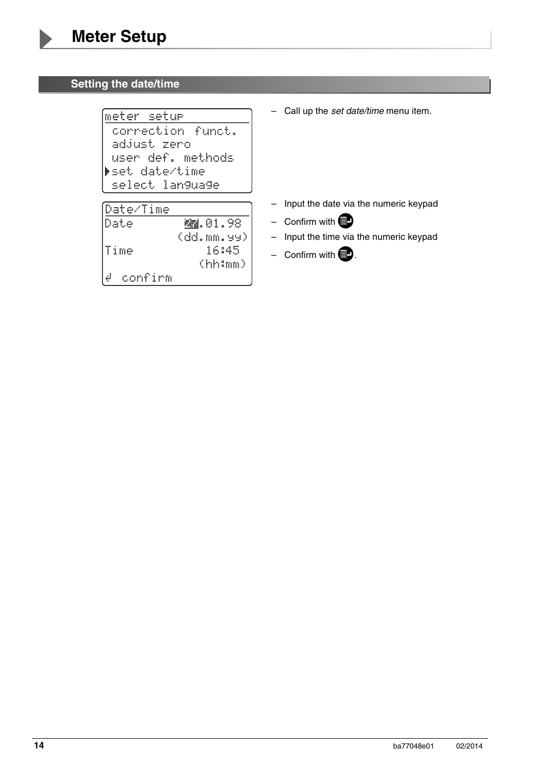#### <span id="page-13-0"></span>**Setting the date/time**

(meter setu<del>r</del> correction funct. adjust zero user def. methods set date/time select language

| (Date⁄Time     |                 |
|----------------|-----------------|
| Date           | <b>AN.01.98</b> |
|                | (ddmm,99)       |
| lTime          | 16:45           |
|                | $\verb thimm $  |
| ك ا<br>confirm |                 |

– Call up the *set date/time* menu item.

- Input the date via the numeric keypad
- Confirm with  $\blacksquare$
- Input the time via the numeric keypad
- Confirm with  $\blacksquare$ .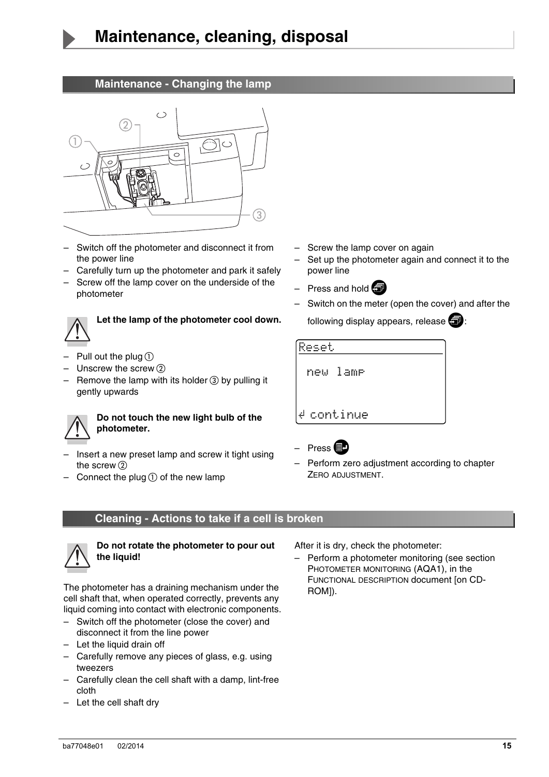

#### <span id="page-14-1"></span>**Maintenance - Changing the lamp**

<span id="page-14-3"></span><span id="page-14-0"></span>

- Switch off the photometer and disconnect it from the power line
- Carefully turn up the photometer and park it safely
- Screw off the lamp cover on the underside of the photometer



## **Let the lamp of the photometer cool down.**

- Pull out the plug  $\odot$
- Unscrew the screw  $(2)$
- Remove the lamp with its holder  $\alpha$  by pulling it gently upwards



#### **Do not touch the new light bulb of the photometer.**

- Insert a new preset lamp and screw it tight using the screw  $(2)$
- Connect the plug  $\overline{O}$  of the new lamp
- Screw the lamp cover on again
- Set up the photometer again and connect it to the power line
- Press and hold  $\blacksquare$
- Switch on the meter (open the cover) and after the
	- following display appears, release  $\blacksquare$ :





– Perform zero adjustment accord[ing to chapte](#page-10-1)r ZERO [ADJUST](#page-10-1)MENT.

#### <span id="page-14-2"></span>**Cleaning - Actions to take if a cell is broken**



**Do not rotate the photometer to pour out the liquid!**

The photometer has a draining mechanism under the cell shaft that, when operated correctly, prevents any liquid coming into contact with electronic components.

- Switch off the photometer (close the cover) and disconnect it from the line power
- Let the liquid drain off
- Carefully remove any pieces of glass, e.g. using tweezers
- Carefully clean the cell shaft with a damp, lint-free cloth
- Let the cell shaft dry

After it is dry, check the photometer:

– Perform a photometer monitoring (see section PHOTOMETER MONITORING (AQA1), in the FUNCTIONAL DESCRIPTION document [on CD-ROM]).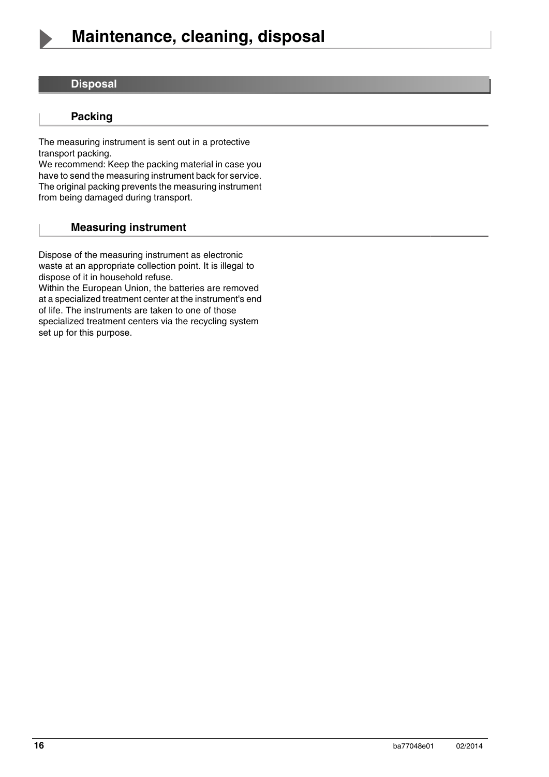

#### <span id="page-15-0"></span>**Disposal**

#### **Packing**

The measuring instrument is sent out in a protective transport packing.

We recommend: Keep the packing material in case you have to send the measuring instrument back for service. The original packing prevents the measuring instrument from being damaged during transport.

#### **Measuring instrument**

Dispose of the measuring instrument as electronic waste at an appropriate collection point. It is illegal to dispose of it in household refuse.

Within the European Union, the batteries are removed at a specialized treatment center at the instrument's end of life. The instruments are taken to one of those specialized treatment centers via the recycling system set up for this purpose.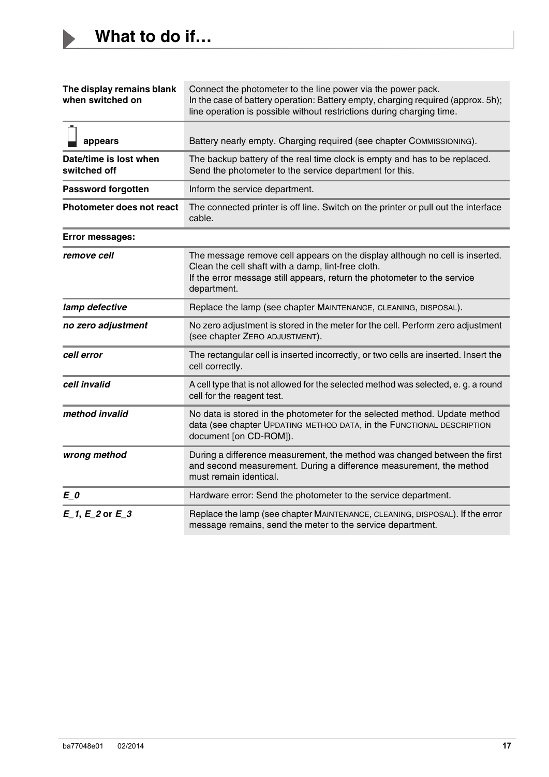$\blacktriangleright$ 

<span id="page-16-0"></span>

| The display remains blank<br>when switched on | Connect the photometer to the line power via the power pack.<br>In the case of battery operation: Battery empty, charging required (approx. 5h);<br>line operation is possible without restrictions during charging time.     |
|-----------------------------------------------|-------------------------------------------------------------------------------------------------------------------------------------------------------------------------------------------------------------------------------|
| appears                                       | Battery nearly empty. Charging required (see chapter COMMISSIONING).                                                                                                                                                          |
| Date/time is lost when<br>switched off        | The backup battery of the real time clock is empty and has to be replaced.<br>Send the photometer to the service department for this.                                                                                         |
| <b>Password forgotten</b>                     | Inform the service department.                                                                                                                                                                                                |
| Photometer does not react                     | The connected printer is off line. Switch on the printer or pull out the interface<br>cable.                                                                                                                                  |
| <b>Error messages:</b>                        |                                                                                                                                                                                                                               |
| remove cell                                   | The message remove cell appears on the display although no cell is inserted.<br>Clean the cell shaft with a damp, lint-free cloth.<br>If the error message still appears, return the photometer to the service<br>department. |
| lamp defective                                | Replace the lamp (see chapter MAINTENANCE, CLEANING, DISPOSAL).                                                                                                                                                               |
| no zero adjustment                            | No zero adjustment is stored in the meter for the cell. Perform zero adjustment<br>(see chapter ZERO ADJUSTMENT).                                                                                                             |
| cell error                                    | The rectangular cell is inserted incorrectly, or two cells are inserted. Insert the<br>cell correctly.                                                                                                                        |
| cell invalid                                  | A cell type that is not allowed for the selected method was selected, e. g. a round<br>cell for the reagent test.                                                                                                             |
| method invalid                                | No data is stored in the photometer for the selected method. Update method<br>data (see chapter UPDATING METHOD DATA, in the FUNCTIONAL DESCRIPTION<br>document [on CD-ROM]).                                                 |
| wrong method                                  | During a difference measurement, the method was changed between the first<br>and second measurement. During a difference measurement, the method<br>must remain identical.                                                    |
| E 0                                           | Hardware error: Send the photometer to the service department.                                                                                                                                                                |
| $E_1, E_2$ or $E_3$                           | Replace the lamp (see chapter MAINTENANCE, CLEANING, DISPOSAL). If the error<br>message remains, send the meter to the service department.                                                                                    |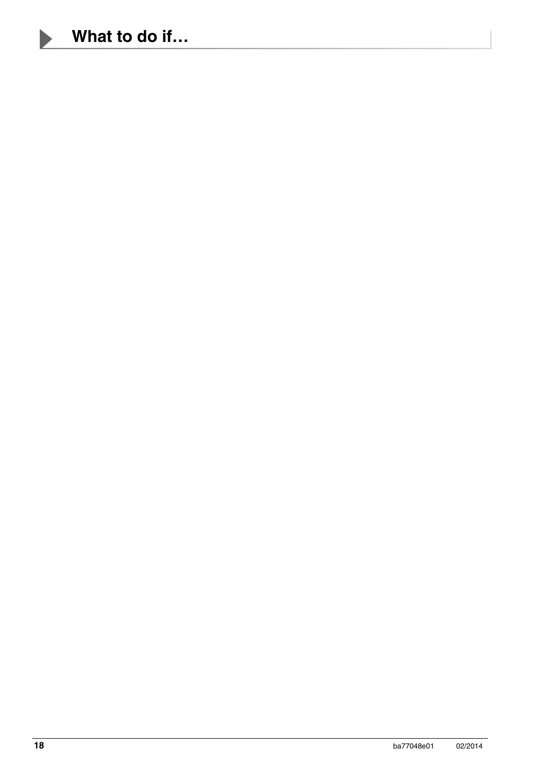